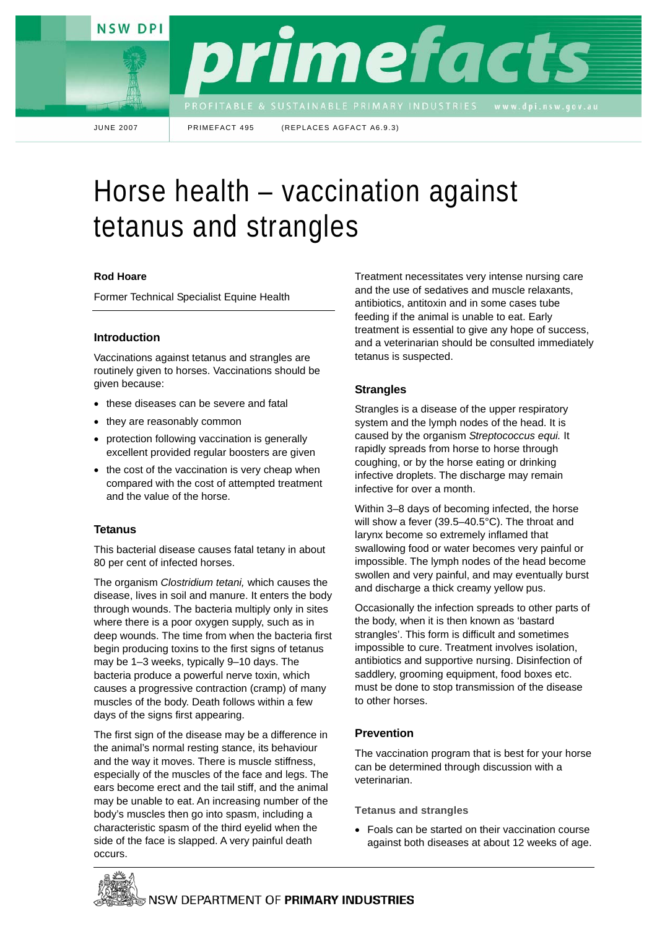**NSW DPI** 



JUNE 2007 PRIMEFACT 495 (REPLACES AGFACT A6.9.3)

# Horse health – vaccination against tetanus and strangles

#### **Rod Hoare**

Former Technical Specialist Equine Health

# **Introduction**

Vaccinations against tetanus and strangles are routinely given to horses. Vaccinations should be given because:

- these diseases can be severe and fatal
- they are reasonably common
- protection following vaccination is generally excellent provided regular boosters are given
- the cost of the vaccination is very cheap when compared with the cost of attempted treatment and the value of the horse.

# **Tetanus**

This bacterial disease causes fatal tetany in about 80 per cent of infected horses.

The organism *Clostridium tetani,* which causes the disease, lives in soil and manure. It enters the body through wounds. The bacteria multiply only in sites where there is a poor oxygen supply, such as in deep wounds. The time from when the bacteria first begin producing toxins to the first signs of tetanus may be 1–3 weeks, typically 9–10 days. The bacteria produce a powerful nerve toxin, which causes a progressive contraction (cramp) of many muscles of the body. Death follows within a few days of the signs first appearing.

The first sign of the disease may be a difference in the animal's normal resting stance, its behaviour and the way it moves. There is muscle stiffness, especially of the muscles of the face and legs. The ears become erect and the tail stiff, and the animal may be unable to eat. An increasing number of the body's muscles then go into spasm, including a characteristic spasm of the third eyelid when the side of the face is slapped. A very painful death occurs.

Treatment necessitates very intense nursing care and the use of sedatives and muscle relaxants, antibiotics, antitoxin and in some cases tube feeding if the animal is unable to eat. Early treatment is essential to give any hope of success, and a veterinarian should be consulted immediately tetanus is suspected.

# **Strangles**

Strangles is a disease of the upper respiratory system and the lymph nodes of the head. It is caused by the organism *Streptococcus equi.* It rapidly spreads from horse to horse through coughing, or by the horse eating or drinking infective droplets. The discharge may remain infective for over a month.

Within 3–8 days of becoming infected, the horse will show a fever (39.5–40.5°C). The throat and larynx become so extremely inflamed that swallowing food or water becomes very painful or impossible. The lymph nodes of the head become swollen and very painful, and may eventually burst and discharge a thick creamy yellow pus.

Occasionally the infection spreads to other parts of the body, when it is then known as 'bastard strangles'. This form is difficult and sometimes impossible to cure. Treatment involves isolation, antibiotics and supportive nursing. Disinfection of saddlery, grooming equipment, food boxes etc. must be done to stop transmission of the disease to other horses.

# **Prevention**

The vaccination program that is best for your horse can be determined through discussion with a veterinarian.

**Tetanus and strangles** 

• Foals can be started on their vaccination course against both diseases at about 12 weeks of age.

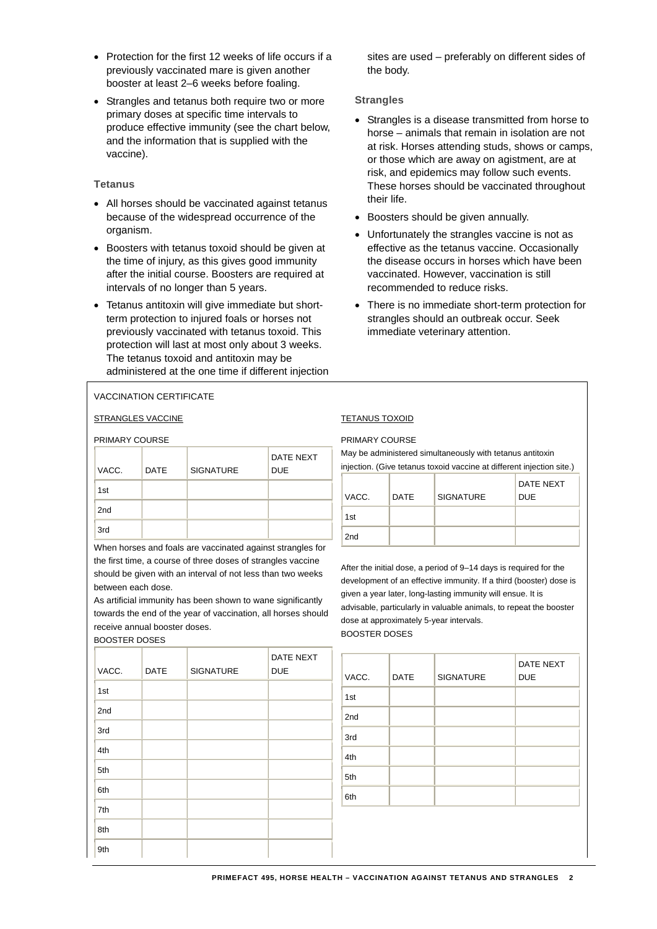- Protection for the first 12 weeks of life occurs if a previously vaccinated mare is given another booster at least 2–6 weeks before foaling.
- Strangles and tetanus both require two or more primary doses at specific time intervals to produce effective immunity (see the chart below, and the information that is supplied with the vaccine).

# **Tetanus**

- All horses should be vaccinated against tetanus because of the widespread occurrence of the organism.
- Boosters with tetanus toxoid should be given at the time of injury, as this gives good immunity after the initial course. Boosters are required at intervals of no longer than 5 years.
- Tetanus antitoxin will give immediate but shortterm protection to injured foals or horses not previously vaccinated with tetanus toxoid. This protection will last at most only about 3 weeks. The tetanus toxoid and antitoxin may be administered at the one time if different injection

sites are used – preferably on different sides of the body.

# **Strangles**

- Strangles is a disease transmitted from horse to horse – animals that remain in isolation are not at risk. Horses attending studs, shows or camps, or those which are away on agistment, are at risk, and epidemics may follow such events. These horses should be vaccinated throughout their life.
- Boosters should be given annually.
- Unfortunately the strangles vaccine is not as effective as the tetanus vaccine. Occasionally the disease occurs in horses which have been vaccinated. However, vaccination is still recommended to reduce risks.
- There is no immediate short-term protection for strangles should an outbreak occur. Seek immediate veterinary attention.

# VACCINATION CERTIFICATE

STRANGLES VACCINE TETANUS TOXOID

PRIMARY COURSE

| VACC. | <b>DATE</b> | <b>SIGNATURE</b> | <b>DATE NEXT</b><br><b>DUE</b> |
|-------|-------------|------------------|--------------------------------|
| 1st   |             |                  |                                |
| 2nd   |             |                  |                                |
| 3rd   |             |                  |                                |

When horses and foals are vaccinated against strangles for the first time, a course of three doses of strangles vaccine should be given with an interval of not less than two weeks between each dose.

As artificial immunity has been shown to wane significantly towards the end of the year of vaccination, all horses should receive annual booster doses.

BOOSTER DOSES

| VACC. | <b>DATE</b> | <b>SIGNATURE</b> | <b>DATE NEXT</b><br><b>DUE</b> |
|-------|-------------|------------------|--------------------------------|
| 1st   |             |                  |                                |
| 2nd   |             |                  |                                |
| 3rd   |             |                  |                                |
| 4th   |             |                  |                                |
| 5th   |             |                  |                                |
| 6th   |             |                  |                                |
| 7th   |             |                  |                                |
| 8th   |             |                  |                                |
| 9th   |             |                  |                                |

#### PRIMARY COURSE

May be administered simultaneously with tetanus antitoxin injection. (Give tetanus toxoid vaccine at different injection site.)

| VACC.           | <b>DATE</b> | <b>SIGNATURE</b> | DATE NEXT<br><b>DUE</b> |
|-----------------|-------------|------------------|-------------------------|
| 1st             |             |                  |                         |
| 2 <sub>nd</sub> |             |                  |                         |

After the initial dose, a period of 9–14 days is required for the development of an effective immunity. If a third (booster) dose is given a year later, long-lasting immunity will ensue. It is advisable, particularly in valuable animals, to repeat the booster dose at approximately 5-year intervals. BOOSTER DOSES

| VACC. | <b>DATE</b> | <b>SIGNATURE</b> | <b>DATE NEXT</b><br><b>DUE</b> |
|-------|-------------|------------------|--------------------------------|
| 1st   |             |                  |                                |
| 2nd   |             |                  |                                |
| 3rd   |             |                  |                                |
| 4th   |             |                  |                                |
| 5th   |             |                  |                                |
| 6th   |             |                  |                                |
|       |             |                  |                                |